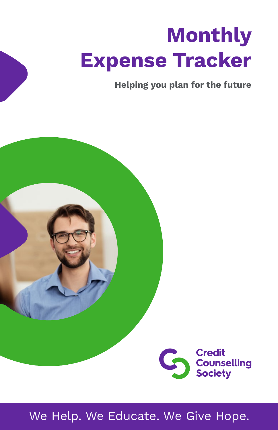# **Monthly Expense Tracker**

**Helping you plan for the future**



We Help. We Educate. We Give Hope.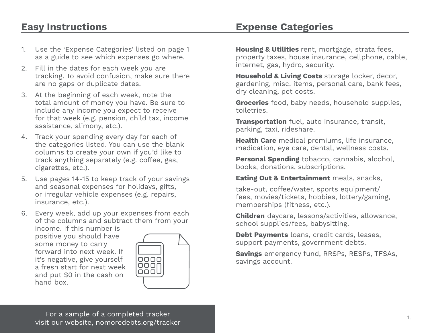## **Easy Instructions**

- 1. Use the 'Expense Categories' listed on page 1 as a guide to see which expenses go where.
- 2. Fill in the dates for each week you are tracking. To avoid confusion, make sure there are no gaps or duplicate dates.
- 3. At the beginning of each week, note the total amount of money you have. Be sure to include any income you expect to receive for that week (e.g. pension, child tax, income assistance, alimony, etc.).
- 4. Track your spending every day for each of the categories listed. You can use the blank columns to create your own if you'd like to track anything separately (e.g. coffee, gas, cigarettes, etc.).
- 5. Use pages 14-15 to keep track of your savings and seasonal expenses for holidays, gifts, or irregular vehicle expenses (e.g. repairs, insurance, etc.).
- 6. Every week, add up your expenses from each of the columns and subtract them from your

income. If this number is positive you should have some money to carry forward into next week. If it's negative, give yourself a fresh start for next week and put \$0 in the cash on hand box.



**Housing & Utilities** rent, mortgage, strata fees, property taxes, house insurance, cellphone, cable, internet, gas, hydro, security.

**Expense Categories**

**Household & Living Costs** storage locker, decor, gardening, misc. items, personal care, bank fees, dry cleaning, pet costs.

**Groceries** food, baby needs, household supplies, toiletries.

**Transportation** fuel, auto insurance, transit, parking, taxi, rideshare.

**Health Care** medical premiums, life insurance, medication, eye care, dental, wellness costs.

**Personal Spending** tobacco, cannabis, alcohol, books, donations, subscriptions.

**Eating Out & Entertainment** meals, snacks,

take-out, coffee/water, sports equipment/ fees, movies/tickets, hobbies, lottery/gaming, memberships (fitness, etc.).

**Children** daycare, lessons/activities, allowance, school supplies/fees, babysitting.

**Debt Payments** loans, credit cards, leases, support payments, government debts.

**Savings** emergency fund, RRSPs, RESPs, TFSAs, savings account.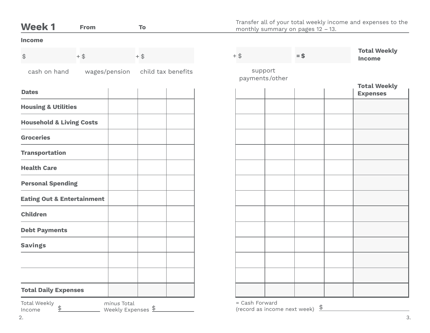| <b>Week1</b>                          | From          | To                                              |        | monthly summary on pages $12 - 13$ .           | Transfer all of your total weekly income and expenses to the |
|---------------------------------------|---------------|-------------------------------------------------|--------|------------------------------------------------|--------------------------------------------------------------|
| <b>Income</b>                         |               |                                                 |        |                                                |                                                              |
| $\updownarrow$                        | $+$ \$        | $+$ \$                                          | $+$ \$ | $=$ \$                                         | <b>Total Weekly</b><br><b>Income</b>                         |
| cash on hand                          | wages/pension | child tax benefits                              |        | support<br>payments/other                      |                                                              |
| <b>Dates</b>                          |               |                                                 |        |                                                | <b>Total Weekly</b><br><b>Expenses</b>                       |
| <b>Housing &amp; Utilities</b>        |               |                                                 |        |                                                |                                                              |
| <b>Household &amp; Living Costs</b>   |               |                                                 |        |                                                |                                                              |
| <b>Groceries</b>                      |               |                                                 |        |                                                |                                                              |
| <b>Transportation</b>                 |               |                                                 |        |                                                |                                                              |
| <b>Health Care</b>                    |               |                                                 |        |                                                |                                                              |
| <b>Personal Spending</b>              |               |                                                 |        |                                                |                                                              |
| <b>Eating Out &amp; Entertainment</b> |               |                                                 |        |                                                |                                                              |
| <b>Children</b>                       |               |                                                 |        |                                                |                                                              |
| <b>Debt Payments</b>                  |               |                                                 |        |                                                |                                                              |
| <b>Savings</b>                        |               |                                                 |        |                                                |                                                              |
|                                       |               |                                                 |        |                                                |                                                              |
|                                       |               |                                                 |        |                                                |                                                              |
| <b>Total Daily Expenses</b>           |               |                                                 |        |                                                |                                                              |
| <b>Total Weekly</b><br>\$<br>Income   |               | minus Total<br>Weekly Expenses $\underline{\$}$ |        | = Cash Forward<br>(record as income next week) | $\frac{1}{\sqrt{2}}$                                         |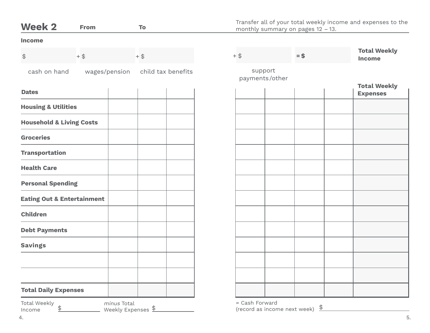| <b>Week 2</b>                             | <b>From</b>   | To                                | monthly summary on pages $12 - 13$ .                          |        | Transfer all of your total weekly income and expenses to the |
|-------------------------------------------|---------------|-----------------------------------|---------------------------------------------------------------|--------|--------------------------------------------------------------|
| Income                                    |               |                                   |                                                               |        |                                                              |
| $\, \, \raisebox{12pt}{$\scriptstyle \$}$ | $+$ \$        | $+$ \$                            | $+$ \$                                                        | $=$ \$ | <b>Total Weekly</b><br><b>Income</b>                         |
| cash on hand                              | wages/pension | child tax benefits                | support<br>payments/other                                     |        |                                                              |
| <b>Dates</b>                              |               |                                   |                                                               |        | <b>Total Weekly</b><br><b>Expenses</b>                       |
| <b>Housing &amp; Utilities</b>            |               |                                   |                                                               |        |                                                              |
| <b>Household &amp; Living Costs</b>       |               |                                   |                                                               |        |                                                              |
| <b>Groceries</b>                          |               |                                   |                                                               |        |                                                              |
| <b>Transportation</b>                     |               |                                   |                                                               |        |                                                              |
| <b>Health Care</b>                        |               |                                   |                                                               |        |                                                              |
| <b>Personal Spending</b>                  |               |                                   |                                                               |        |                                                              |
| <b>Eating Out &amp; Entertainment</b>     |               |                                   |                                                               |        |                                                              |
| <b>Children</b>                           |               |                                   |                                                               |        |                                                              |
| <b>Debt Payments</b>                      |               |                                   |                                                               |        |                                                              |
| <b>Savings</b>                            |               |                                   |                                                               |        |                                                              |
|                                           |               |                                   |                                                               |        |                                                              |
|                                           |               |                                   |                                                               |        |                                                              |
| <b>Total Daily Expenses</b>               |               |                                   |                                                               |        |                                                              |
| <b>Total Weekly</b><br>\$<br>Income       |               | minus Total<br>Weekly Expenses \$ | = Cash Forward<br>(record as income next week) $\frac{\$}{ }$ |        |                                                              |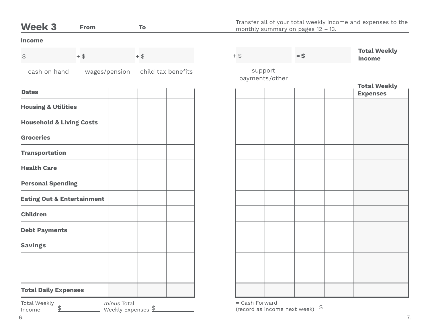| <b>Week 3</b>                         | From          | To                                              |                | monthly summary on pages $12 - 13$ .                 | Transfer all of your total weekly income and expenses to the |
|---------------------------------------|---------------|-------------------------------------------------|----------------|------------------------------------------------------|--------------------------------------------------------------|
| Income                                |               |                                                 |                |                                                      |                                                              |
| $\updownarrow$                        | $+$ \$        | $+$ \$                                          | $+$ \$         | $=$ \$                                               | <b>Total Weekly</b><br><b>Income</b>                         |
| cash on hand                          | wages/pension | child tax benefits                              |                | support<br>payments/other                            |                                                              |
| <b>Dates</b>                          |               |                                                 |                |                                                      | <b>Total Weekly</b><br><b>Expenses</b>                       |
| <b>Housing &amp; Utilities</b>        |               |                                                 |                |                                                      |                                                              |
| <b>Household &amp; Living Costs</b>   |               |                                                 |                |                                                      |                                                              |
| <b>Groceries</b>                      |               |                                                 |                |                                                      |                                                              |
| <b>Transportation</b>                 |               |                                                 |                |                                                      |                                                              |
| <b>Health Care</b>                    |               |                                                 |                |                                                      |                                                              |
| <b>Personal Spending</b>              |               |                                                 |                |                                                      |                                                              |
| <b>Eating Out &amp; Entertainment</b> |               |                                                 |                |                                                      |                                                              |
| <b>Children</b>                       |               |                                                 |                |                                                      |                                                              |
| <b>Debt Payments</b>                  |               |                                                 |                |                                                      |                                                              |
| <b>Savings</b>                        |               |                                                 |                |                                                      |                                                              |
|                                       |               |                                                 |                |                                                      |                                                              |
|                                       |               |                                                 |                |                                                      |                                                              |
| <b>Total Daily Expenses</b>           |               |                                                 |                |                                                      |                                                              |
| <b>Total Weekly</b><br>\$<br>Income   |               | minus Total<br>Weekly Expenses $\underline{\$}$ | = Cash Forward | $\frac{1}{\sqrt{2}}$<br>(record as income next week) |                                                              |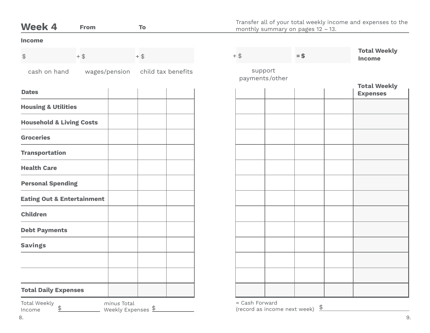| <b>Week 4</b>                         | From          | To                                              |                | monthly summary on pages $12 - 13$ .                 | Transfer all of your total weekly income and expenses to the |
|---------------------------------------|---------------|-------------------------------------------------|----------------|------------------------------------------------------|--------------------------------------------------------------|
| Income                                |               |                                                 |                |                                                      |                                                              |
| $\updownarrow$                        | $+$ \$        | $+$ \$                                          | $+$ \$         | $=$ \$                                               | <b>Total Weekly</b><br><b>Income</b>                         |
| cash on hand                          | wages/pension | child tax benefits                              |                | support<br>payments/other                            |                                                              |
| <b>Dates</b>                          |               |                                                 |                |                                                      | <b>Total Weekly</b><br><b>Expenses</b>                       |
| <b>Housing &amp; Utilities</b>        |               |                                                 |                |                                                      |                                                              |
| <b>Household &amp; Living Costs</b>   |               |                                                 |                |                                                      |                                                              |
| <b>Groceries</b>                      |               |                                                 |                |                                                      |                                                              |
| <b>Transportation</b>                 |               |                                                 |                |                                                      |                                                              |
| <b>Health Care</b>                    |               |                                                 |                |                                                      |                                                              |
| <b>Personal Spending</b>              |               |                                                 |                |                                                      |                                                              |
| <b>Eating Out &amp; Entertainment</b> |               |                                                 |                |                                                      |                                                              |
| <b>Children</b>                       |               |                                                 |                |                                                      |                                                              |
| <b>Debt Payments</b>                  |               |                                                 |                |                                                      |                                                              |
| <b>Savings</b>                        |               |                                                 |                |                                                      |                                                              |
|                                       |               |                                                 |                |                                                      |                                                              |
|                                       |               |                                                 |                |                                                      |                                                              |
| <b>Total Daily Expenses</b>           |               |                                                 |                |                                                      |                                                              |
| <b>Total Weekly</b><br>\$<br>Income   |               | minus Total<br>Weekly Expenses $\underline{\$}$ | = Cash Forward | $\frac{1}{\sqrt{2}}$<br>(record as income next week) |                                                              |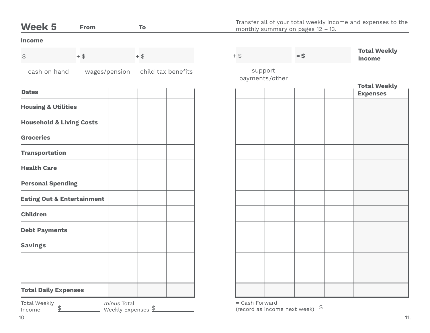| <b>Week 5</b>                                  | From          | To                               |        |                                                | Transfer all of your total weekly income and expenses to the<br>monthly summary on pages $12 - 13$ . |                                        |
|------------------------------------------------|---------------|----------------------------------|--------|------------------------------------------------|------------------------------------------------------------------------------------------------------|----------------------------------------|
| Income                                         |               |                                  |        |                                                |                                                                                                      |                                        |
| $\updownarrow$                                 | $+$ \$        | $+$ \$                           | $+$ \$ |                                                | $=$ \$                                                                                               | <b>Total Weekly</b><br><b>Income</b>   |
| cash on hand                                   | wages/pension | child tax benefits               |        | support<br>payments/other                      |                                                                                                      |                                        |
| <b>Dates</b>                                   |               |                                  |        |                                                |                                                                                                      | <b>Total Weekly</b><br><b>Expenses</b> |
| <b>Housing &amp; Utilities</b>                 |               |                                  |        |                                                |                                                                                                      |                                        |
| <b>Household &amp; Living Costs</b>            |               |                                  |        |                                                |                                                                                                      |                                        |
| <b>Groceries</b>                               |               |                                  |        |                                                |                                                                                                      |                                        |
| <b>Transportation</b>                          |               |                                  |        |                                                |                                                                                                      |                                        |
| <b>Health Care</b>                             |               |                                  |        |                                                |                                                                                                      |                                        |
| <b>Personal Spending</b>                       |               |                                  |        |                                                |                                                                                                      |                                        |
| <b>Eating Out &amp; Entertainment</b>          |               |                                  |        |                                                |                                                                                                      |                                        |
| <b>Children</b>                                |               |                                  |        |                                                |                                                                                                      |                                        |
| <b>Debt Payments</b>                           |               |                                  |        |                                                |                                                                                                      |                                        |
| <b>Savings</b>                                 |               |                                  |        |                                                |                                                                                                      |                                        |
|                                                |               |                                  |        |                                                |                                                                                                      |                                        |
|                                                |               |                                  |        |                                                |                                                                                                      |                                        |
| <b>Total Daily Expenses</b>                    |               |                                  |        |                                                |                                                                                                      |                                        |
| <b>Total Weekly</b><br>$\frac{1}{2}$<br>Income | minus Total   | Weekly Expenses $\underline{\$}$ |        | = Cash Forward<br>(record as income next week) | $\frac{1}{\sqrt{2}}$                                                                                 |                                        |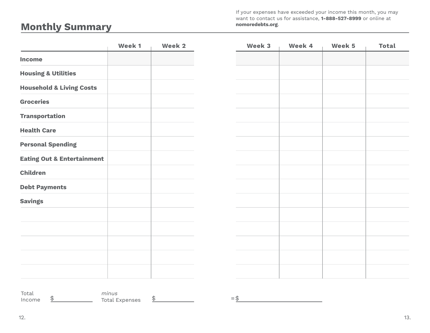If your expenses have exceeded your income this month, you may want to contact us for assistance, **1-888-527-8999** or online at **nomoredebts.org**.

## **Monthly Summary**

|                                       | Week 1 | Week 2 | Week 3 | Week 4 | Week 5 | <b>Total</b> |
|---------------------------------------|--------|--------|--------|--------|--------|--------------|
| Income                                |        |        |        |        |        |              |
| <b>Housing &amp; Utilities</b>        |        |        |        |        |        |              |
| <b>Household &amp; Living Costs</b>   |        |        |        |        |        |              |
| <b>Groceries</b>                      |        |        |        |        |        |              |
| <b>Transportation</b>                 |        |        |        |        |        |              |
| <b>Health Care</b>                    |        |        |        |        |        |              |
| <b>Personal Spending</b>              |        |        |        |        |        |              |
| <b>Eating Out &amp; Entertainment</b> |        |        |        |        |        |              |
| <b>Children</b>                       |        |        |        |        |        |              |
| <b>Debt Payments</b>                  |        |        |        |        |        |              |
| <b>Savings</b>                        |        |        |        |        |        |              |
|                                       |        |        |        |        |        |              |
|                                       |        |        |        |        |        |              |
|                                       |        |        |        |        |        |              |
|                                       |        |        |        |        |        |              |
|                                       |        |        |        |        |        |              |
| Total                                 | minus  |        |        |        |        |              |

=\$

Income

 $\frac{\text{%}}{\text{%}}$  Total Expenses  $\frac{\text{)}{\text{}}}{\text{)}$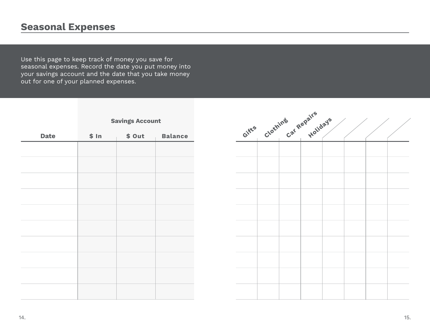## **Seasonal Expenses**

Use this page to keep track of money you save for seasonal expenses. Record the date you put money into your savings account and the date that you take money out for one of your planned expenses.

**Savings Account**

| <b>Date</b> | \$ In | \$Out | <b>Balance</b> |
|-------------|-------|-------|----------------|
|             |       |       |                |
|             |       |       |                |
|             |       |       |                |
|             |       |       |                |
|             |       |       |                |
|             |       |       |                |
|             |       |       |                |
|             |       |       |                |
|             |       |       |                |
|             |       |       |                |
|             |       |       |                |
|             |       |       |                |
|             |       |       |                |
|             |       |       |                |
|             |       |       |                |
|             |       |       |                |
|             |       |       |                |
|             |       |       |                |
|             |       |       |                |
|             |       |       |                |
|             |       |       |                |

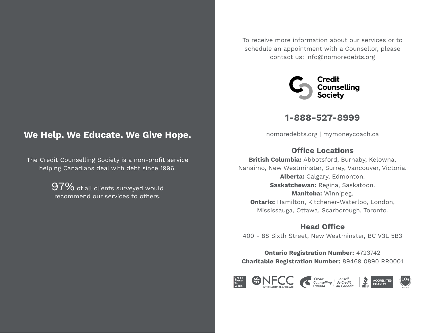### **We Help. We Educate. We Give Hope.**

The Credit Counselling Society is a non-profit service helping Canadians deal with debt since 1996.

> 97% of all clients surveyed would recommend our services to others.

To receive more information about our services or to schedule an appointment with a Counsellor, please contact us: info@nomoredebts.org



**1-888-527-8999**

nomoredebts.org | mymoneycoach.ca

#### **Office Locations**

**British Columbia:** Abbotsford, Burnaby, Kelowna, Nanaimo, New Westminster, Surrey, Vancouver, Victoria. **Alberta:** Calgary, Edmonton. **Saskatchewan:** Regina, Saskatoon. **Manitoba:** Winnipeg. **Ontario:** Hamilton, Kitchener-Waterloo, London, Mississauga, Ottawa, Scarborough, Toronto.

#### **Head Office**

400 - 88 Sixth Street, New Westminster, BC V3L 5B3

**Ontario Registration Number:** 4723742 **Charitable Registration Number:** 89469 0890 RR0001